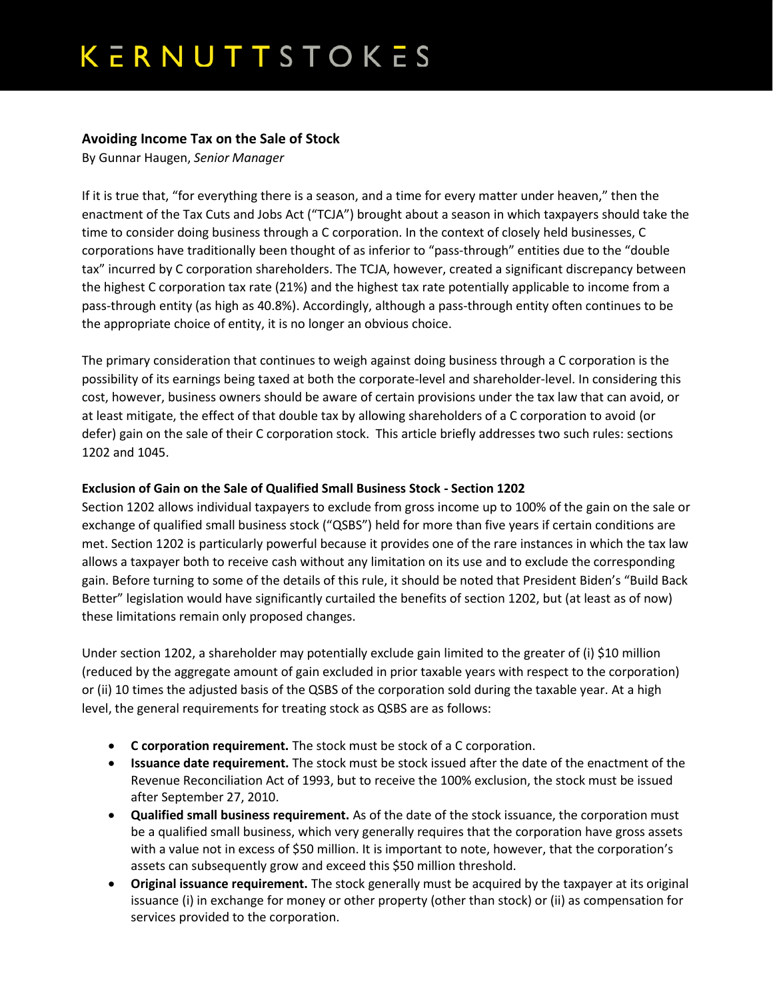## KERNUTTSTOKES

### **Avoiding Income Tax on the Sale of Stock**

By Gunnar Haugen, *Senior Manager*

If it is true that, "for everything there is a season, and a time for every matter under heaven," then the enactment of the Tax Cuts and Jobs Act ("TCJA") brought about a season in which taxpayers should take the time to consider doing business through a C corporation. In the context of closely held businesses, C corporations have traditionally been thought of as inferior to "pass-through" entities due to the "double tax" incurred by C corporation shareholders. The TCJA, however, created a significant discrepancy between the highest C corporation tax rate (21%) and the highest tax rate potentially applicable to income from a pass-through entity (as high as 40.8%). Accordingly, although a pass-through entity often continues to be the appropriate choice of entity, it is no longer an obvious choice.

The primary consideration that continues to weigh against doing business through a C corporation is the possibility of its earnings being taxed at both the corporate-level and shareholder-level. In considering this cost, however, business owners should be aware of certain provisions under the tax law that can avoid, or at least mitigate, the effect of that double tax by allowing shareholders of a C corporation to avoid (or defer) gain on the sale of their C corporation stock. This article briefly addresses two such rules: sections 1202 and 1045.

### **Exclusion of Gain on the Sale of Qualified Small Business Stock - Section 1202**

Section 1202 allows individual taxpayers to exclude from gross income up to 100% of the gain on the sale or exchange of qualified small business stock ("QSBS") held for more than five years if certain conditions are met. Section 1202 is particularly powerful because it provides one of the rare instances in which the tax law allows a taxpayer both to receive cash without any limitation on its use and to exclude the corresponding gain. Before turning to some of the details of this rule, it should be noted that President Biden's "Build Back Better" legislation would have significantly curtailed the benefits of section 1202, but (at least as of now) these limitations remain only proposed changes.

Under section 1202, a shareholder may potentially exclude gain limited to the greater of (i) \$10 million (reduced by the aggregate amount of gain excluded in prior taxable years with respect to the corporation) or (ii) 10 times the adjusted basis of the QSBS of the corporation sold during the taxable year. At a high level, the general requirements for treating stock as QSBS are as follows:

- **C corporation requirement.** The stock must be stock of a C corporation.
- **Issuance date requirement.** The stock must be stock issued after the date of the enactment of the Revenue Reconciliation Act of 1993, but to receive the 100% exclusion, the stock must be issued after September 27, 2010.
- **Qualified small business requirement.** As of the date of the stock issuance, the corporation must be a qualified small business, which very generally requires that the corporation have gross assets with a value not in excess of \$50 million. It is important to note, however, that the corporation's assets can subsequently grow and exceed this \$50 million threshold.
- **Original issuance requirement.** The stock generally must be acquired by the taxpayer at its original issuance (i) in exchange for money or other property (other than stock) or (ii) as compensation for services provided to the corporation.